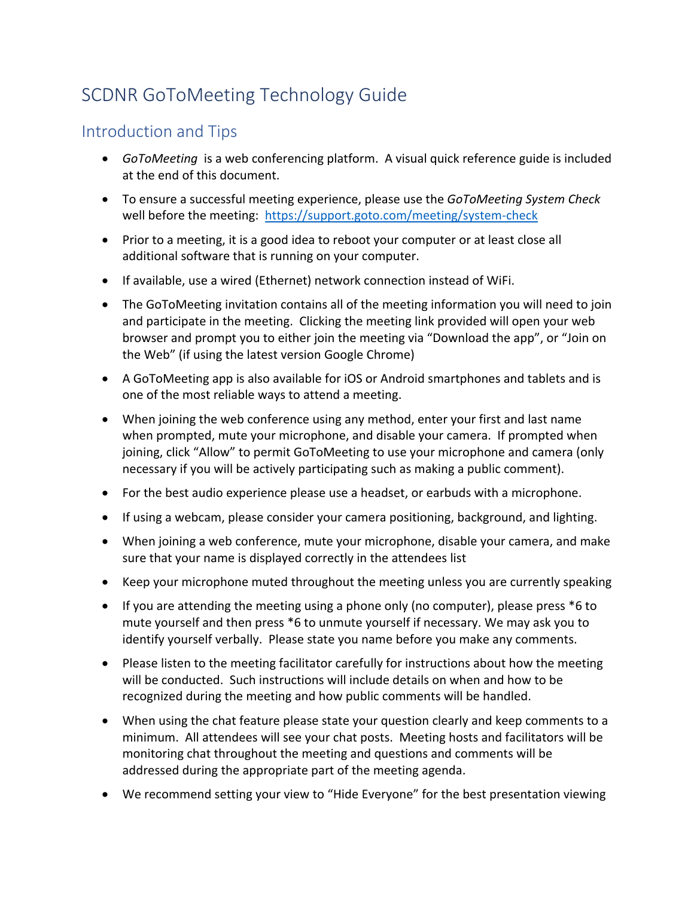## SCDNR GoToMeeting Technology Guide

## Introduction and Tips

- *GoToMeeting* is a web conferencing platform. A visual quick reference guide is included at the end of this document.
- To ensure a successful meeting experience, please use the *GoToMeeting System Check* well before the meeting: https://support.goto.com/meeting/system-check
- Prior to a meeting, it is a good idea to reboot your computer or at least close all additional software that is running on your computer.
- If available, use a wired (Ethernet) network connection instead of WiFi.
- The GoToMeeting invitation contains all of the meeting information you will need to join and participate in the meeting. Clicking the meeting link provided will open your web browser and prompt you to either join the meeting via "Download the app", or "Join on the Web" (if using the latest version Google Chrome)
- A GoToMeeting app is also available for iOS or Android smartphones and tablets and is one of the most reliable ways to attend a meeting.
- When joining the web conference using any method, enter your first and last name when prompted, mute your microphone, and disable your camera. If prompted when joining, click "Allow" to permit GoToMeeting to use your microphone and camera (only necessary if you will be actively participating such as making a public comment).
- For the best audio experience please use a headset, or earbuds with a microphone.
- If using a webcam, please consider your camera positioning, background, and lighting.
- When joining a web conference, mute your microphone, disable your camera, and make sure that your name is displayed correctly in the attendees list
- Keep your microphone muted throughout the meeting unless you are currently speaking
- If you are attending the meeting using a phone only (no computer), please press \*6 to mute yourself and then press \*6 to unmute yourself if necessary. We may ask you to identify yourself verbally. Please state you name before you make any comments.
- Please listen to the meeting facilitator carefully for instructions about how the meeting will be conducted. Such instructions will include details on when and how to be recognized during the meeting and how public comments will be handled.
- When using the chat feature please state your question clearly and keep comments to a minimum. All attendees will see your chat posts. Meeting hosts and facilitators will be monitoring chat throughout the meeting and questions and comments will be addressed during the appropriate part of the meeting agenda.
- We recommend setting your view to "Hide Everyone" for the best presentation viewing